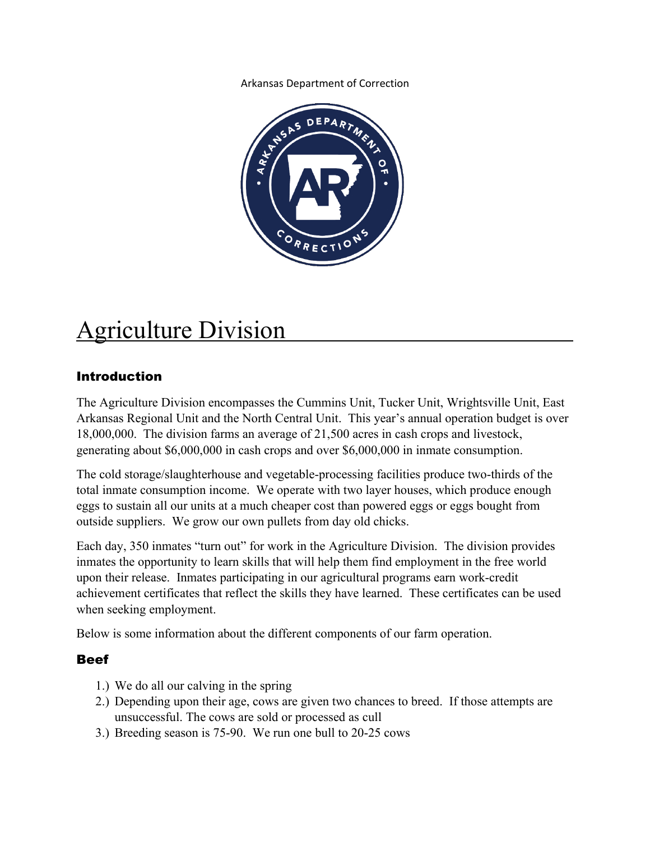Arkansas Department of Correction



# **Agriculture Division**

# Introduction

The Agriculture Division encompasses the Cummins Unit, Tucker Unit, Wrightsville Unit, East Arkansas Regional Unit and the North Central Unit. This year's annual operation budget is over 18,000,000. The division farms an average of 21,500 acres in cash crops and livestock, generating about \$6,000,000 in cash crops and over \$6,000,000 in inmate consumption.

The cold storage/slaughterhouse and vegetable-processing facilities produce two-thirds of the total inmate consumption income. We operate with two layer houses, which produce enough eggs to sustain all our units at a much cheaper cost than powered eggs or eggs bought from outside suppliers. We grow our own pullets from day old chicks.

Each day, 350 inmates "turn out" for work in the Agriculture Division. The division provides inmates the opportunity to learn skills that will help them find employment in the free world upon their release. Inmates participating in our agricultural programs earn work-credit achievement certificates that reflect the skills they have learned. These certificates can be used when seeking employment.

Below is some information about the different components of our farm operation.

# Beef

- 1.) We do all our calving in the spring
- 2.) Depending upon their age, cows are given two chances to breed. If those attempts are unsuccessful. The cows are sold or processed as cull
- 3.) Breeding season is 75-90. We run one bull to 20-25 cows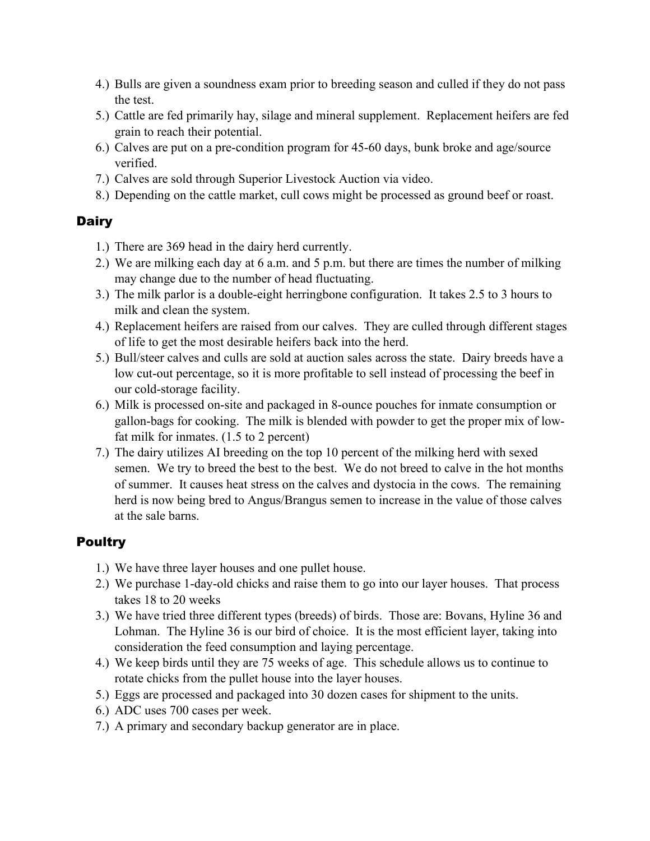- 4.) Bulls are given a soundness exam prior to breeding season and culled if they do not pass the test.
- 5.) Cattle are fed primarily hay, silage and mineral supplement. Replacement heifers are fed grain to reach their potential.
- 6.) Calves are put on a pre-condition program for 45-60 days, bunk broke and age/source verified.
- 7.) Calves are sold through Superior Livestock Auction via video.
- 8.) Depending on the cattle market, cull cows might be processed as ground beef or roast.

# **Dairy**

- 1.) There are 369 head in the dairy herd currently.
- 2.) We are milking each day at 6 a.m. and 5 p.m. but there are times the number of milking may change due to the number of head fluctuating.
- 3.) The milk parlor is a double-eight herringbone configuration. It takes 2.5 to 3 hours to milk and clean the system.
- 4.) Replacement heifers are raised from our calves. They are culled through different stages of life to get the most desirable heifers back into the herd.
- 5.) Bull/steer calves and culls are sold at auction sales across the state. Dairy breeds have a low cut-out percentage, so it is more profitable to sell instead of processing the beef in our cold-storage facility.
- 6.) Milk is processed on-site and packaged in 8-ounce pouches for inmate consumption or gallon-bags for cooking. The milk is blended with powder to get the proper mix of lowfat milk for inmates. (1.5 to 2 percent)
- 7.) The dairy utilizes AI breeding on the top 10 percent of the milking herd with sexed semen. We try to breed the best to the best. We do not breed to calve in the hot months of summer. It causes heat stress on the calves and dystocia in the cows. The remaining herd is now being bred to Angus/Brangus semen to increase in the value of those calves at the sale barns.

# Poultry

- 1.) We have three layer houses and one pullet house.
- 2.) We purchase 1-day-old chicks and raise them to go into our layer houses. That process takes 18 to 20 weeks
- 3.) We have tried three different types (breeds) of birds. Those are: Bovans, Hyline 36 and Lohman. The Hyline 36 is our bird of choice. It is the most efficient layer, taking into consideration the feed consumption and laying percentage.
- 4.) We keep birds until they are 75 weeks of age. This schedule allows us to continue to rotate chicks from the pullet house into the layer houses.
- 5.) Eggs are processed and packaged into 30 dozen cases for shipment to the units.
- 6.) ADC uses 700 cases per week.
- 7.) A primary and secondary backup generator are in place.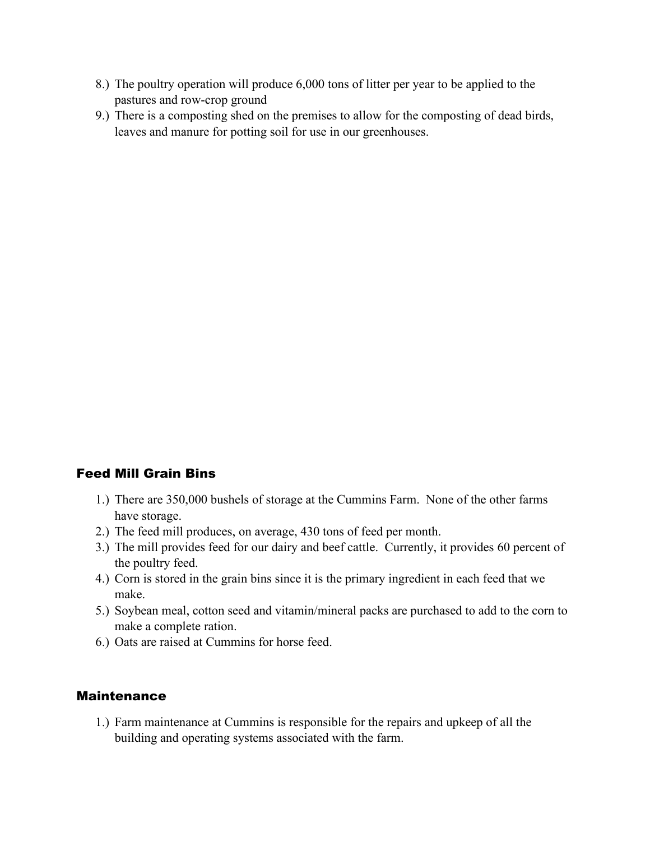- 8.) The poultry operation will produce 6,000 tons of litter per year to be applied to the pastures and row-crop ground
- 9.) There is a composting shed on the premises to allow for the composting of dead birds, leaves and manure for potting soil for use in our greenhouses.

# Feed Mill Grain Bins

- 1.) There are 350,000 bushels of storage at the Cummins Farm. None of the other farms have storage.
- 2.) The feed mill produces, on average, 430 tons of feed per month.
- 3.) The mill provides feed for our dairy and beef cattle. Currently, it provides 60 percent of the poultry feed.
- 4.) Corn is stored in the grain bins since it is the primary ingredient in each feed that we make.
- 5.) Soybean meal, cotton seed and vitamin/mineral packs are purchased to add to the corn to make a complete ration.
- 6.) Oats are raised at Cummins for horse feed.

#### Maintenance

1.) Farm maintenance at Cummins is responsible for the repairs and upkeep of all the building and operating systems associated with the farm.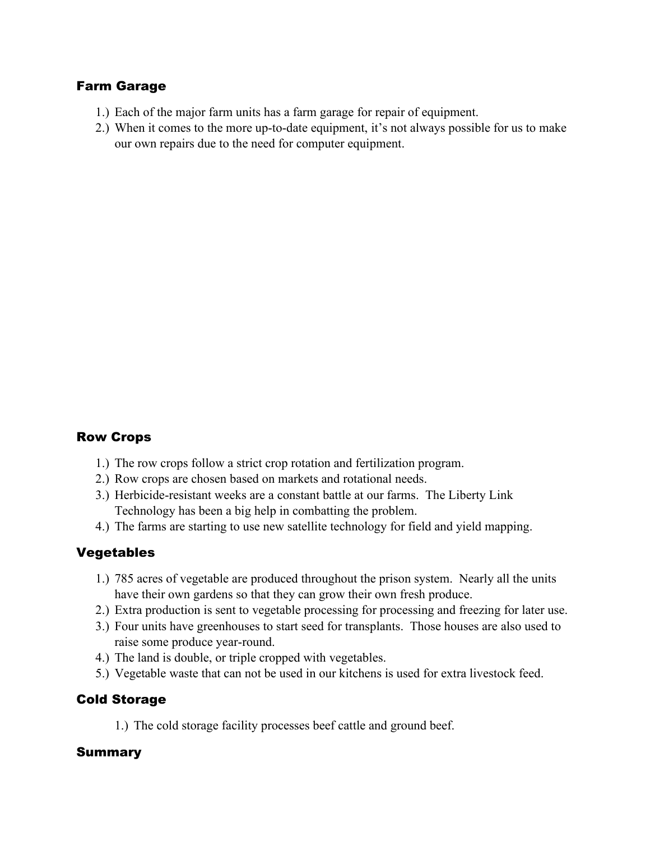### Farm Garage

- 1.) Each of the major farm units has a farm garage for repair of equipment.
- 2.) When it comes to the more up-to-date equipment, it's not always possible for us to make our own repairs due to the need for computer equipment.

# Row Crops

- 1.) The row crops follow a strict crop rotation and fertilization program.
- 2.) Row crops are chosen based on markets and rotational needs.
- 3.) Herbicide-resistant weeks are a constant battle at our farms. The Liberty Link Technology has been a big help in combatting the problem.
- 4.) The farms are starting to use new satellite technology for field and yield mapping.

#### Vegetables

- 1.) 785 acres of vegetable are produced throughout the prison system. Nearly all the units have their own gardens so that they can grow their own fresh produce.
- 2.) Extra production is sent to vegetable processing for processing and freezing for later use.
- 3.) Four units have greenhouses to start seed for transplants. Those houses are also used to raise some produce year-round.
- 4.) The land is double, or triple cropped with vegetables.
- 5.) Vegetable waste that can not be used in our kitchens is used for extra livestock feed.

#### Cold Storage

1.) The cold storage facility processes beef cattle and ground beef.

#### Summary